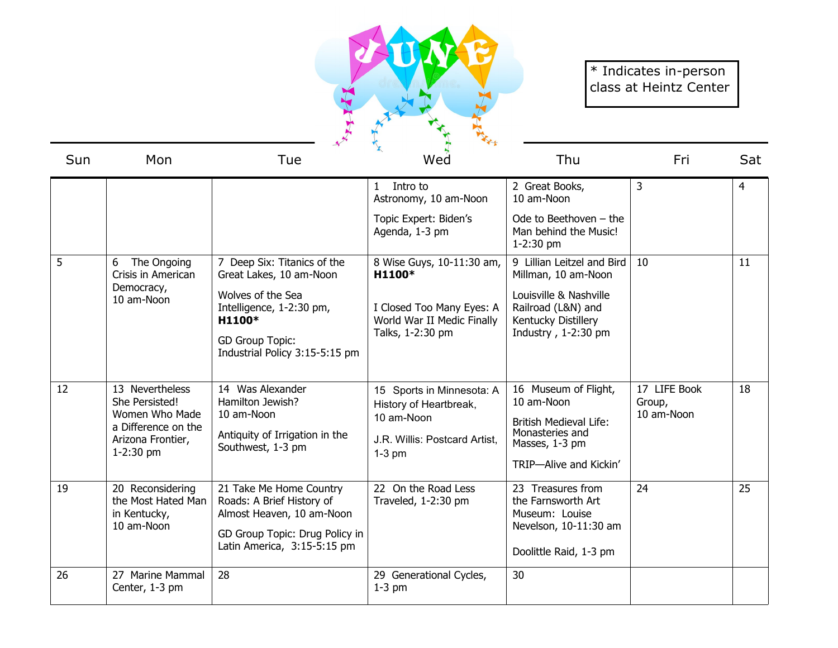

## \* Indicates in-person class at Heintz Center

| Sun | Mon                                                                                                            | $\mathbf{X}$<br>Wed<br>Tue                                                                                                                         |                                                                                                                | Thu                                                                                                                                | Fri                                  | Sat |
|-----|----------------------------------------------------------------------------------------------------------------|----------------------------------------------------------------------------------------------------------------------------------------------------|----------------------------------------------------------------------------------------------------------------|------------------------------------------------------------------------------------------------------------------------------------|--------------------------------------|-----|
|     |                                                                                                                |                                                                                                                                                    | Intro to<br>$\mathbf{1}$<br>Astronomy, 10 am-Noon                                                              | 2 Great Books,<br>10 am-Noon                                                                                                       | 3                                    | 4   |
|     |                                                                                                                |                                                                                                                                                    | Topic Expert: Biden's<br>Agenda, 1-3 pm                                                                        | Ode to Beethoven $-$ the<br>Man behind the Music!<br>1-2:30 pm                                                                     |                                      |     |
| 5   | The Ongoing<br>6<br>Crisis in American<br>Democracy,<br>10 am-Noon                                             | 7 Deep Six: Titanics of the<br>Great Lakes, 10 am-Noon                                                                                             | 8 Wise Guys, 10-11:30 am,<br>H1100*                                                                            | 9 Lillian Leitzel and Bird<br>Millman, 10 am-Noon                                                                                  | 10                                   | 11  |
|     |                                                                                                                | Wolves of the Sea<br>Intelligence, 1-2:30 pm,<br>H1100*                                                                                            | I Closed Too Many Eyes: A<br>World War II Medic Finally<br>Talks, 1-2:30 pm                                    | Louisville & Nashville<br>Railroad (L&N) and<br>Kentucky Distillery<br>Industry, 1-2:30 pm                                         |                                      |     |
|     |                                                                                                                | <b>GD Group Topic:</b><br>Industrial Policy 3:15-5:15 pm                                                                                           |                                                                                                                |                                                                                                                                    |                                      |     |
| 12  | 13 Nevertheless<br>She Persisted!<br>Women Who Made<br>a Difference on the<br>Arizona Frontier,<br>$1-2:30$ pm | 14 Was Alexander<br>Hamilton Jewish?<br>10 am-Noon<br>Antiquity of Irrigation in the<br>Southwest, 1-3 pm                                          | 15 Sports in Minnesota: A<br>History of Heartbreak,<br>10 am-Noon<br>J.R. Willis: Postcard Artist.<br>$1-3$ pm | 16 Museum of Flight,<br>10 am-Noon<br><b>British Medieval Life:</b><br>Monasteries and<br>Masses, 1-3 pm<br>TRIP-Alive and Kickin' | 17 LIFE Book<br>Group,<br>10 am-Noon | 18  |
| 19  | 20 Reconsidering<br>the Most Hated Man<br>in Kentucky,<br>10 am-Noon                                           | 21 Take Me Home Country<br>Roads: A Brief History of<br>Almost Heaven, 10 am-Noon<br>GD Group Topic: Drug Policy in<br>Latin America, 3:15-5:15 pm | 22 On the Road Less<br>Traveled, 1-2:30 pm                                                                     | 23 Treasures from<br>the Farnsworth Art<br>Museum: Louise<br>Nevelson, 10-11:30 am<br>Doolittle Raid, 1-3 pm                       | 24                                   | 25  |
| 26  | 27 Marine Mammal<br>Center, 1-3 pm                                                                             | 28                                                                                                                                                 | 29 Generational Cycles,<br>$1-3$ pm                                                                            | 30                                                                                                                                 |                                      |     |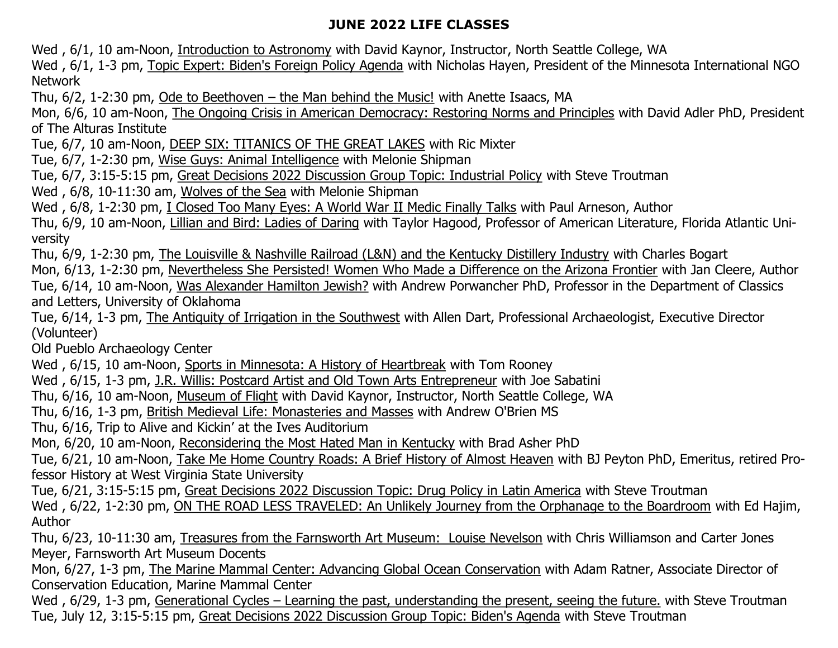## **JUNE 2022 LIFE CLASSES**

Wed , 6/1, 10 am-Noon, Introduction to Astronomy with David Kaynor, Instructor, North Seattle College, WA

Wed, 6/1, 1-3 pm, Topic Expert: Biden's Foreign Policy Agenda with Nicholas Hayen, President of the Minnesota International NGO Network

Thu, 6/2, 1-2:30 pm, Ode to Beethoven – the Man behind the Music! with Anette Isaacs, MA

Mon, 6/6, 10 am-Noon, The Ongoing Crisis in American Democracy: Restoring Norms and Principles with David Adler PhD, President of The Alturas Institute

Tue, 6/7, 10 am-Noon, DEEP SIX: TITANICS OF THE GREAT LAKES with Ric Mixter

Tue, 6/7, 1-2:30 pm, Wise Guys: Animal Intelligence with Melonie Shipman

Tue, 6/7, 3:15-5:15 pm, Great Decisions 2022 Discussion Group Topic: Industrial Policy with Steve Troutman

Wed , 6/8, 10-11:30 am, Wolves of the Sea with Melonie Shipman

Wed, 6/8, 1-2:30 pm, I Closed Too Many Eyes: A World War II Medic Finally Talks with Paul Arneson, Author

Thu, 6/9, 10 am-Noon, Lillian and Bird: Ladies of Daring with Taylor Hagood, Professor of American Literature, Florida Atlantic University

Thu, 6/9, 1-2:30 pm, The Louisville & Nashville Railroad (L&N) and the Kentucky Distillery Industry with Charles Bogart

Mon, 6/13, 1-2:30 pm, Nevertheless She Persisted! Women Who Made a Difference on the Arizona Frontier with Jan Cleere, Author

Tue, 6/14, 10 am-Noon, Was Alexander Hamilton Jewish? with Andrew Porwancher PhD, Professor in the Department of Classics and Letters, University of Oklahoma

Tue, 6/14, 1-3 pm, The Antiquity of Irrigation in the Southwest with Allen Dart, Professional Archaeologist, Executive Director (Volunteer)

Old Pueblo Archaeology Center

Wed, 6/15, 10 am-Noon, Sports in Minnesota: A History of Heartbreak with Tom Rooney

Wed , 6/15, 1-3 pm, J.R. Willis: Postcard Artist and Old Town Arts Entrepreneur with Joe Sabatini

Thu, 6/16, 10 am-Noon, Museum of Flight with David Kaynor, Instructor, North Seattle College, WA

Thu, 6/16, 1-3 pm, British Medieval Life: Monasteries and Masses with Andrew O'Brien MS

Thu, 6/16, Trip to Alive and Kickin' at the Ives Auditorium

Mon, 6/20, 10 am-Noon, Reconsidering the Most Hated Man in Kentucky with Brad Asher PhD

Tue, 6/21, 10 am-Noon, Take Me Home Country Roads: A Brief History of Almost Heaven with BJ Peyton PhD, Emeritus, retired Professor History at West Virginia State University

Tue, 6/21, 3:15-5:15 pm, Great Decisions 2022 Discussion Topic: Drug Policy in Latin America with Steve Troutman

Wed, 6/22, 1-2:30 pm, ON THE ROAD LESS TRAVELED: An Unlikely Journey from the Orphanage to the Boardroom with Ed Hajim, Author

Thu, 6/23, 10-11:30 am, Treasures from the Farnsworth Art Museum: Louise Nevelson with Chris Williamson and Carter Jones Meyer, Farnsworth Art Museum Docents

Mon, 6/27, 1-3 pm, The Marine Mammal Center: Advancing Global Ocean Conservation with Adam Ratner, Associate Director of Conservation Education, Marine Mammal Center

Wed, 6/29, 1-3 pm, Generational Cycles – Learning the past, understanding the present, seeing the future. with Steve Troutman Tue, July 12, 3:15-5:15 pm, Great Decisions 2022 Discussion Group Topic: Biden's Agenda with Steve Troutman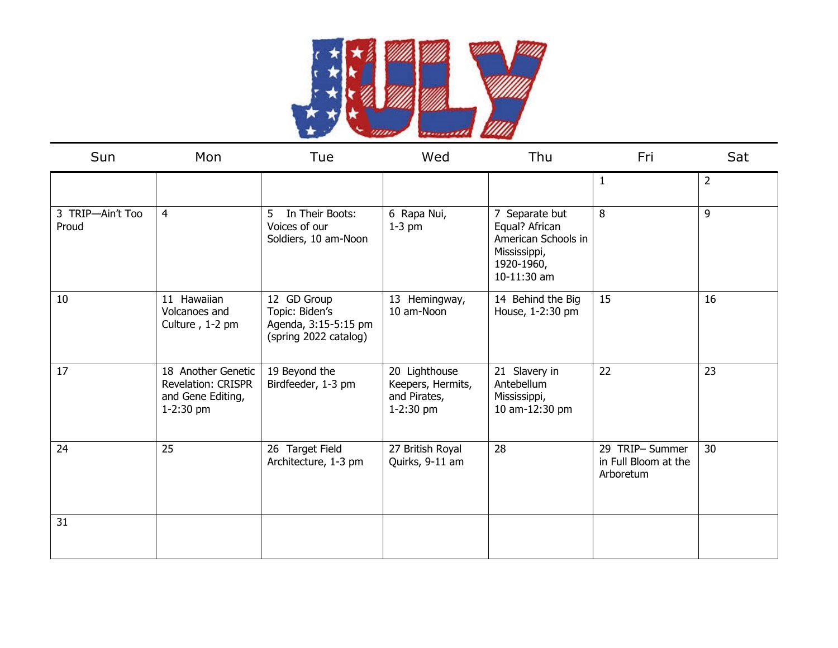

| Sun                       | Mon                                                                                 | Tue                                                                            | Wed                                                               | Thu                                                                                                  | Fri                                                 | Sat            |
|---------------------------|-------------------------------------------------------------------------------------|--------------------------------------------------------------------------------|-------------------------------------------------------------------|------------------------------------------------------------------------------------------------------|-----------------------------------------------------|----------------|
|                           |                                                                                     |                                                                                |                                                                   |                                                                                                      | -1                                                  | $\overline{2}$ |
| 3 TRIP-Ain't Too<br>Proud | $\overline{4}$                                                                      | In Their Boots:<br>5<br>Voices of our<br>Soldiers, 10 am-Noon                  | 6 Rapa Nui,<br>$1-3$ pm                                           | 7 Separate but<br>Equal? African<br>American Schools in<br>Mississippi,<br>1920-1960,<br>10-11:30 am | 8                                                   | 9              |
| 10                        | 11 Hawaiian<br>Volcanoes and<br>Culture, 1-2 pm                                     | 12 GD Group<br>Topic: Biden's<br>Agenda, 3:15-5:15 pm<br>(spring 2022 catalog) | 13 Hemingway,<br>10 am-Noon                                       | 14 Behind the Big<br>House, 1-2:30 pm                                                                | 15                                                  | 16             |
| 17                        | 18 Another Genetic<br><b>Revelation: CRISPR</b><br>and Gene Editing,<br>$1-2:30$ pm | 19 Beyond the<br>Birdfeeder, 1-3 pm                                            | 20 Lighthouse<br>Keepers, Hermits,<br>and Pirates,<br>$1-2:30$ pm | 21 Slavery in<br>Antebellum<br>Mississippi,<br>10 am-12:30 pm                                        | 22                                                  | 23             |
| 24                        | 25                                                                                  | 26 Target Field<br>Architecture, 1-3 pm                                        | 27 British Royal<br>Quirks, 9-11 am                               | 28                                                                                                   | 29 TRIP-Summer<br>in Full Bloom at the<br>Arboretum | 30             |
| 31                        |                                                                                     |                                                                                |                                                                   |                                                                                                      |                                                     |                |